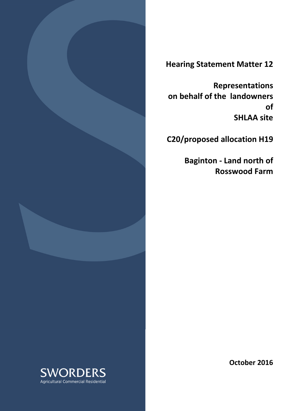

Hearing Statement Matter 12

Representations on behalf of the landowners of SHLAA site

C20/proposed allocation H19

 Baginton - Land north of Rosswood Farm

October 2016

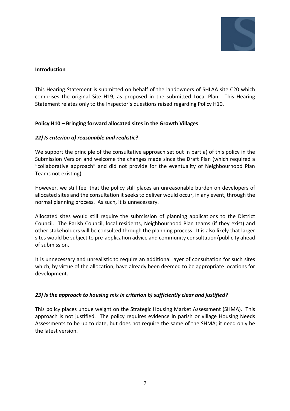

## Introduction

This Hearing Statement is submitted on behalf of the landowners of SHLAA site C20 which comprises the original Site H19, as proposed in the submitted Local Plan. This Hearing Statement relates only to the Inspector's questions raised regarding Policy H10.

## Policy H10 – Bringing forward allocated sites in the Growth Villages

## 22) Is criterion a) reasonable and realistic?

We support the principle of the consultative approach set out in part a) of this policy in the Submission Version and welcome the changes made since the Draft Plan (which required a "collaborative approach" and did not provide for the eventuality of Neighbourhood Plan Teams not existing).

However, we still feel that the policy still places an unreasonable burden on developers of allocated sites and the consultation it seeks to deliver would occur, in any event, through the normal planning process. As such, it is unnecessary.

Allocated sites would still require the submission of planning applications to the District Council. The Parish Council, local residents, Neighbourhood Plan teams (if they exist) and other stakeholders will be consulted through the planning process. It is also likely that larger sites would be subject to pre-application advice and community consultation/publicity ahead of submission.

It is unnecessary and unrealistic to require an additional layer of consultation for such sites which, by virtue of the allocation, have already been deemed to be appropriate locations for development.

## 23) Is the approach to housing mix in criterion b) sufficiently clear and justified?

This policy places undue weight on the Strategic Housing Market Assessment (SHMA). This approach is not justified. The policy requires evidence in parish or village Housing Needs Assessments to be up to date, but does not require the same of the SHMA; it need only be the latest version.